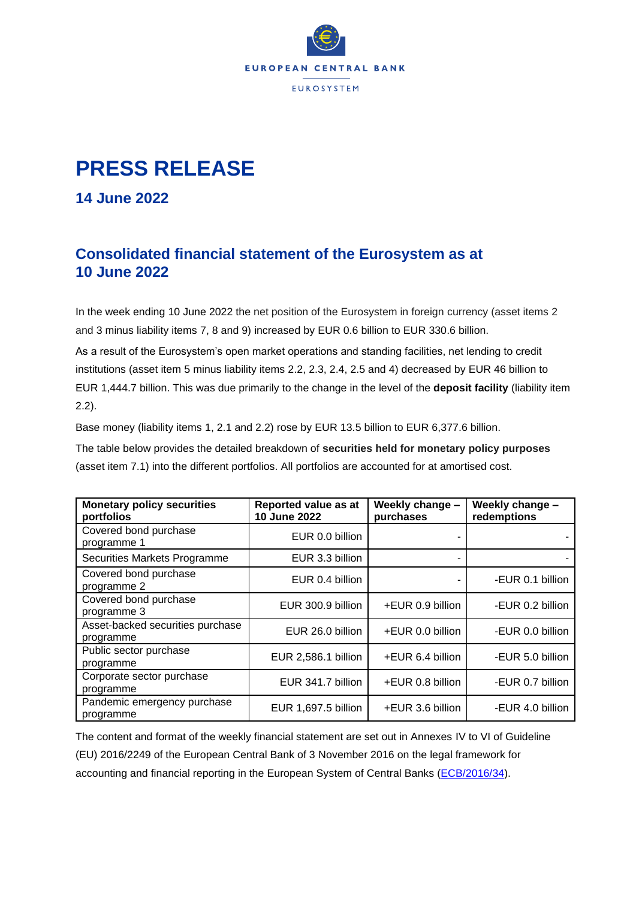

## **PRESS RELEASE**

**14 June 2022**

## **Consolidated financial statement of the Eurosystem as at 10 June 2022**

In the week ending 10 June 2022 the net position of the Eurosystem in foreign currency (asset items 2 and 3 minus liability items 7, 8 and 9) increased by EUR 0.6 billion to EUR 330.6 billion.

As a result of the Eurosystem's open market operations and standing facilities, net lending to credit institutions (asset item 5 minus liability items 2.2, 2.3, 2.4, 2.5 and 4) decreased by EUR 46 billion to EUR 1,444.7 billion. This was due primarily to the change in the level of the **deposit facility** (liability item 2.2).

Base money (liability items 1, 2.1 and 2.2) rose by EUR 13.5 billion to EUR 6,377.6 billion.

The table below provides the detailed breakdown of **securities held for monetary policy purposes** (asset item 7.1) into the different portfolios. All portfolios are accounted for at amortised cost.

| <b>Monetary policy securities</b><br>portfolios | Reported value as at<br>10 June 2022 | Weekly change -<br>purchases | Weekly change -<br>redemptions |
|-------------------------------------------------|--------------------------------------|------------------------------|--------------------------------|
| Covered bond purchase<br>programme 1            | EUR 0.0 billion                      |                              |                                |
| Securities Markets Programme                    | EUR 3.3 billion                      |                              |                                |
| Covered bond purchase<br>programme 2            | EUR 0.4 billion                      |                              | -EUR 0.1 billion               |
| Covered bond purchase<br>programme 3            | EUR 300.9 billion                    | +EUR 0.9 billion             | -EUR 0.2 billion               |
| Asset-backed securities purchase<br>programme   | EUR 26.0 billion                     | +EUR 0.0 billion             | -EUR 0.0 billion               |
| Public sector purchase<br>programme             | EUR 2,586.1 billion                  | +EUR 6.4 billion             | -EUR 5.0 billion               |
| Corporate sector purchase<br>programme          | EUR 341.7 billion                    | +EUR 0.8 billion             | -EUR 0.7 billion               |
| Pandemic emergency purchase<br>programme        | EUR 1,697.5 billion                  | +EUR 3.6 billion             | -EUR 4.0 billion               |

The content and format of the weekly financial statement are set out in Annexes IV to VI of Guideline (EU) 2016/2249 of the European Central Bank of 3 November 2016 on the legal framework for accounting and financial reporting in the European System of Central Banks [\(ECB/2016/34\)](https://eur-lex.europa.eu/legal-content/EN/TXT/?qid=1599130224518&uri=CELEX:32016O0034).